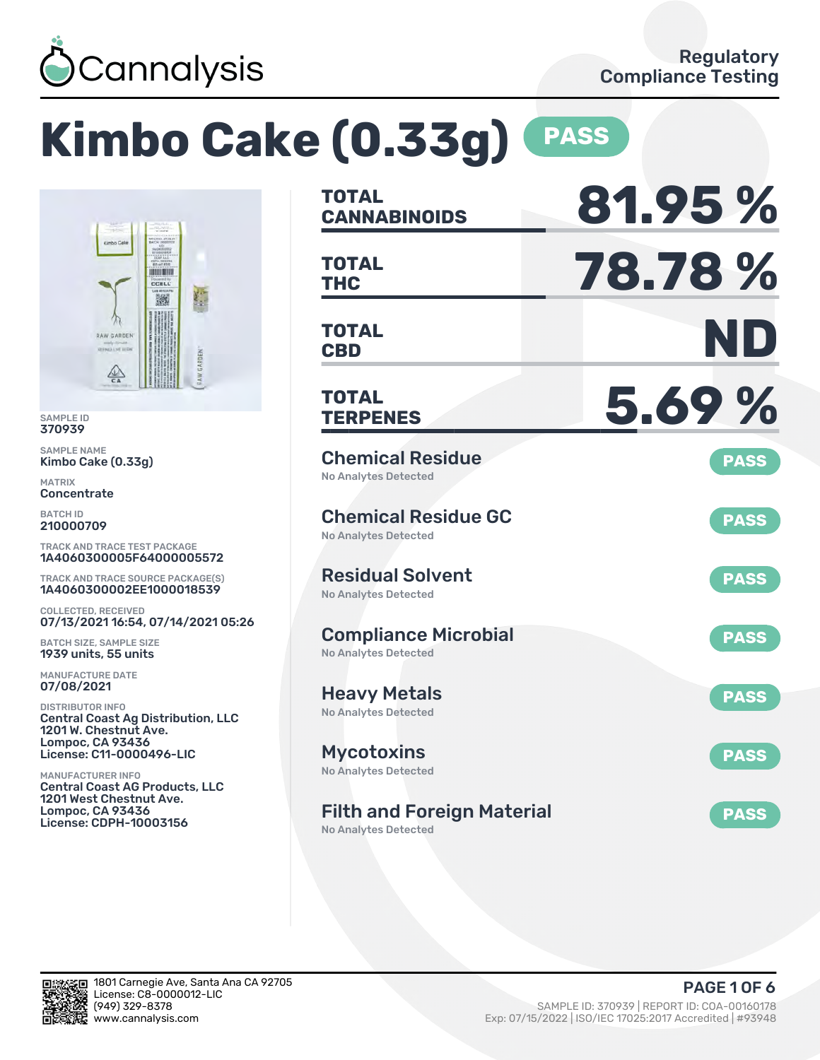

# **Kimbo Cake (0.33g) PASS**



SAMPLE ID 370939

SAMPLE NAME Kimbo Cake (0.33g)

MATRIX **Concentrate** 

BATCH ID 210000709

TRACK AND TRACE TEST PACKAGE 1A4060300005F64000005572

TRACK AND TRACE SOURCE PACKAGE(S) 1A4060300002EE1000018539

COLLECTED, RECEIVED 07/13/2021 16:54, 07/14/2021 05:26

BATCH SIZE, SAMPLE SIZE 1939 units, 55 units

MANUFACTURE DATE 07/08/2021

DISTRIBUTOR INFO Central Coast Ag Distribution, LLC 1201 W. Chestnut Ave. Lompoc, CA 93436 License: C11-0000496-LIC

MANUFACTURER INFO Central Coast AG Products, LLC 1201 West Chestnut Ave. Lompoc, CA 93436 License: CDPH-10003156

| <b>TOTAL</b><br><b>CANNABINOIDS</b>                        | 81.95%      |
|------------------------------------------------------------|-------------|
| TOTAL<br><b>THC</b>                                        | 78.78%      |
| <b>TOTAL</b><br><b>CBD</b>                                 | ND          |
| <b>TOTAL</b><br><b>TERPENES</b>                            | 5.69%       |
| <b>Chemical Residue</b><br><b>No Analytes Detected</b>     | <b>PASS</b> |
| <b>Chemical Residue GC</b><br><b>No Analytes Detected</b>  | <b>PASS</b> |
| <b>Residual Solvent</b><br><b>No Analytes Detected</b>     | <b>PASS</b> |
| <b>Compliance Microbial</b><br><b>No Analytes Detected</b> | <b>PASS</b> |
| <b>Heavy Metals</b><br>No Analytes Detected                | <b>PASS</b> |
| <b>Mycotoxins</b><br>No Analytes Detected                  | <b>PASS</b> |
| <b>Filth and Foreign Material</b>                          | <b>PASS</b> |

No Analytes Detected

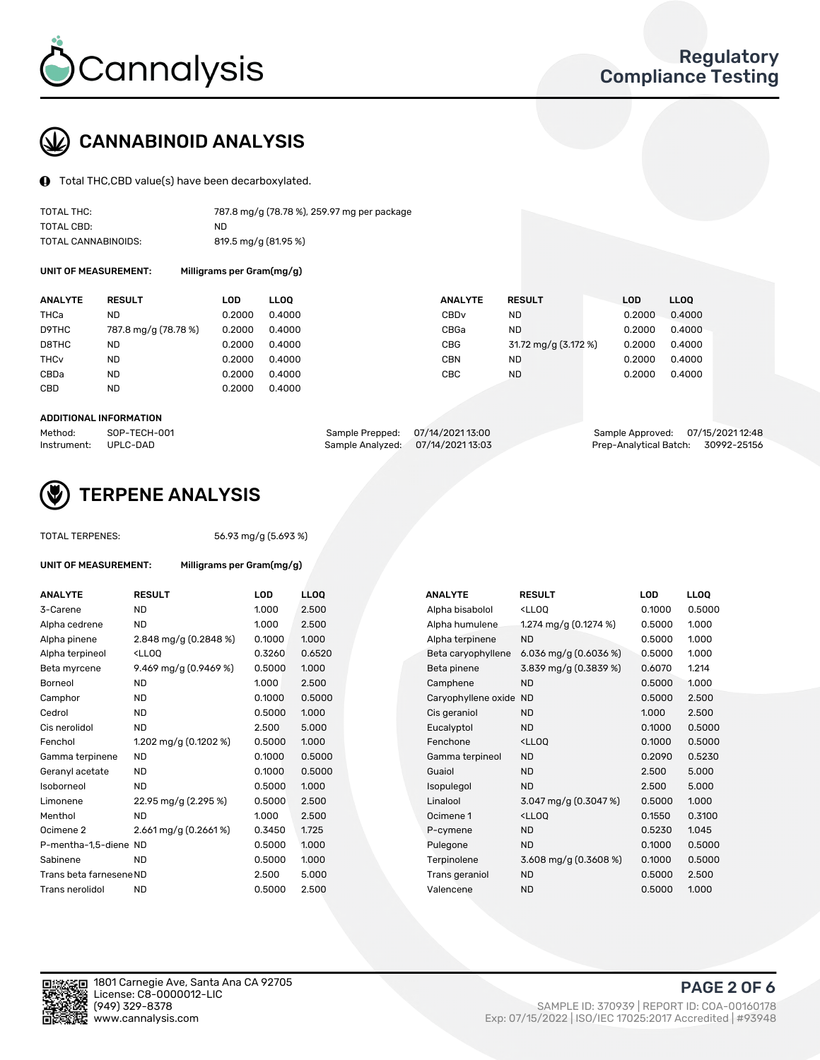

## CANNABINOID ANALYSIS

Total THC,CBD value(s) have been decarboxylated.

| TOTAL THC:          | 787.8 mg/g (78.78 %), 259.97 mg per package |
|---------------------|---------------------------------------------|
| TOTAL CBD:          | ND.                                         |
| TOTAL CANNABINOIDS: | 819.5 mg/g (81.95 %)                        |

UNIT OF MEASUREMENT: Milligrams per Gram(mg/g)

| <b>ANALYTE</b>         | <b>RESULT</b>        | LOD    | <b>LLOO</b> | <b>ANALYTE</b>   | <b>RESULT</b>        | LOD    | <b>LLOO</b> |
|------------------------|----------------------|--------|-------------|------------------|----------------------|--------|-------------|
| THCa                   | ND.                  | 0.2000 | 0.4000      | CBD <sub>v</sub> | ND                   | 0.2000 | 0.4000      |
| D9THC                  | 787.8 mg/g (78.78 %) | 0.2000 | 0.4000      | CBGa             | <b>ND</b>            | 0.2000 | 0.4000      |
| D8THC                  | ND.                  | 0.2000 | 0.4000      | CBG              | 31.72 mg/g (3.172 %) | 0.2000 | 0.4000      |
| <b>THC<sub>v</sub></b> | <b>ND</b>            | 0.2000 | 0.4000      | CBN              | ND                   | 0.2000 | 0.4000      |
| CBDa                   | <b>ND</b>            | 0.2000 | 0.4000      | CBC              | ND                   | 0.2000 | 0.4000      |
| CBD                    | <b>ND</b>            | 0.2000 | 0.4000      |                  |                      |        |             |
|                        |                      |        |             |                  |                      |        |             |

#### ADDITIONAL INFORMATION

| Method:              | SOP-TECH-001 | Sample Prepped: 07/14/2021 13:00 |                                   | Sample Approved: 07/15/2021 12:48  |  |
|----------------------|--------------|----------------------------------|-----------------------------------|------------------------------------|--|
| Instrument: UPLC-DAD |              |                                  | Sample Analyzed: 07/14/2021 13:03 | Prep-Analytical Batch: 30992-25156 |  |



## TERPENE ANALYSIS

UNIT OF MEASUREMENT: Milligrams per Gram(mg/g)

| TUTAL TERPENES: |  |
|-----------------|--|
|                 |  |
|                 |  |

TOTAL TERPENES: 56.93 mg/g (5.693 %)

| <b>ANALYTE</b>          | <b>RESULT</b>                                                                                                                                          | <b>LOD</b> | <b>LLOQ</b> | <b>ANALYTE</b>         | <b>RESULT</b>                                       | <b>LOD</b> | <b>LLOQ</b> |
|-------------------------|--------------------------------------------------------------------------------------------------------------------------------------------------------|------------|-------------|------------------------|-----------------------------------------------------|------------|-------------|
| 3-Carene                | <b>ND</b>                                                                                                                                              | 1.000      | 2.500       | Alpha bisabolol        | <ll0q< td=""><td>0.1000</td><td>0.5000</td></ll0q<> | 0.1000     | 0.5000      |
| Alpha cedrene           | <b>ND</b>                                                                                                                                              | 1.000      | 2.500       | Alpha humulene         | 1.274 mg/g $(0.1274\%)$                             | 0.5000     | 1.000       |
| Alpha pinene            | 2.848 mg/g (0.2848 %)                                                                                                                                  | 0.1000     | 1.000       | Alpha terpinene        | <b>ND</b>                                           | 0.5000     | 1.000       |
| Alpha terpineol         | <lloq< td=""><td>0.3260</td><td>0.6520</td><td>Beta caryophyllene</td><td>6.036 mg/g <math>(0.6036\%)</math></td><td>0.5000</td><td>1.000</td></lloq<> | 0.3260     | 0.6520      | Beta caryophyllene     | 6.036 mg/g $(0.6036\%)$                             | 0.5000     | 1.000       |
| Beta myrcene            | 9.469 mg/g (0.9469 %)                                                                                                                                  | 0.5000     | 1.000       | Beta pinene            | 3.839 mg/g (0.3839 %)                               | 0.6070     | 1.214       |
| Borneol                 | <b>ND</b>                                                                                                                                              | 1.000      | 2.500       | Camphene               | <b>ND</b>                                           | 0.5000     | 1.000       |
| Camphor                 | <b>ND</b>                                                                                                                                              | 0.1000     | 0.5000      | Caryophyllene oxide ND |                                                     | 0.5000     | 2.500       |
| Cedrol                  | <b>ND</b>                                                                                                                                              | 0.5000     | 1.000       | Cis geraniol           | <b>ND</b>                                           | 1.000      | 2.500       |
| Cis nerolidol           | <b>ND</b>                                                                                                                                              | 2.500      | 5.000       | Eucalyptol             | <b>ND</b>                                           | 0.1000     | 0.5000      |
| Fenchol                 | 1.202 mg/g (0.1202 %)                                                                                                                                  | 0.5000     | 1.000       | Fenchone               | <ll0q< td=""><td>0.1000</td><td>0.5000</td></ll0q<> | 0.1000     | 0.5000      |
| Gamma terpinene         | <b>ND</b>                                                                                                                                              | 0.1000     | 0.5000      | Gamma terpineol        | <b>ND</b>                                           | 0.2090     | 0.5230      |
| Geranyl acetate         | <b>ND</b>                                                                                                                                              | 0.1000     | 0.5000      | Guaiol                 | <b>ND</b>                                           | 2.500      | 5.000       |
| Isoborneol              | <b>ND</b>                                                                                                                                              | 0.5000     | 1.000       | Isopulegol             | <b>ND</b>                                           | 2.500      | 5.000       |
| Limonene                | 22.95 mg/g (2.295 %)                                                                                                                                   | 0.5000     | 2.500       | Linalool               | 3.047 mg/g $(0.3047%)$                              | 0.5000     | 1.000       |
| Menthol                 | <b>ND</b>                                                                                                                                              | 1.000      | 2.500       | Ocimene 1              | <ll0q< td=""><td>0.1550</td><td>0.3100</td></ll0q<> | 0.1550     | 0.3100      |
| Ocimene <sub>2</sub>    | $2.661$ mg/g $(0.2661\%)$                                                                                                                              | 0.3450     | 1.725       | P-cymene               | <b>ND</b>                                           | 0.5230     | 1.045       |
| P-mentha-1,5-diene ND   |                                                                                                                                                        | 0.5000     | 1.000       | Pulegone               | <b>ND</b>                                           | 0.1000     | 0.5000      |
| Sabinene                | <b>ND</b>                                                                                                                                              | 0.5000     | 1.000       | Terpinolene            | 3.608 mg/g $(0.3608\%)$                             | 0.1000     | 0.5000      |
| Trans beta farnesene ND |                                                                                                                                                        | 2.500      | 5.000       | Trans geraniol         | <b>ND</b>                                           | 0.5000     | 2.500       |
| Trans nerolidol         | <b>ND</b>                                                                                                                                              | 0.5000     | 2.500       | Valencene              | <b>ND</b>                                           | 0.5000     | 1.000       |

| <b>NALYTE</b>         | <b>RESULT</b>                                       | LOD    | LL <sub>OO</sub> |
|-----------------------|-----------------------------------------------------|--------|------------------|
| Ipha bisabolol        | <lloq< td=""><td>0.1000</td><td>0.5000</td></lloq<> | 0.1000 | 0.5000           |
| lpha humulene         | 1.274 mg/g $(0.1274\%)$                             | 0.5000 | 1.000            |
| Ipha terpinene        | <b>ND</b>                                           | 0.5000 | 1.000            |
| eta caryophyllene     | 6.036 mg/g $(0.6036\%)$                             | 0.5000 | 1.000            |
| eta pinene            | 3.839 mg/g (0.3839 %)                               | 0.6070 | 1.214            |
| amphene               | <b>ND</b>                                           | 0.5000 | 1.000            |
| aryophyllene oxide ND |                                                     | 0.5000 | 2.500            |
| is geraniol           | <b>ND</b>                                           | 1.000  | 2.500            |
| ucalyptol             | <b>ND</b>                                           | 0.1000 | 0.5000           |
| enchone               | <lloq< td=""><td>0.1000</td><td>0.5000</td></lloq<> | 0.1000 | 0.5000           |
| amma terpineol        | <b>ND</b>                                           | 0.2090 | 0.5230           |
| uaiol                 | <b>ND</b>                                           | 2.500  | 5.000            |
| sopulegol             | <b>ND</b>                                           | 2.500  | 5.000            |
| inalool               | 3.047 mg/g $(0.3047%)$                              | 0.5000 | 1.000            |
| cimene 1              | <lloq< td=""><td>0.1550</td><td>0.3100</td></lloq<> | 0.1550 | 0.3100           |
| -cymene               | <b>ND</b>                                           | 0.5230 | 1.045            |
| ulegone               | <b>ND</b>                                           | 0.1000 | 0.5000           |
| erpinolene            | $3.608$ mg/g (0.3608 %)                             | 0.1000 | 0.5000           |
| rans geraniol         | <b>ND</b>                                           | 0.5000 | 2.500            |
| alencene              | <b>ND</b>                                           | 0.5000 | 1.000            |
|                       |                                                     |        |                  |



PAGE 2 OF 6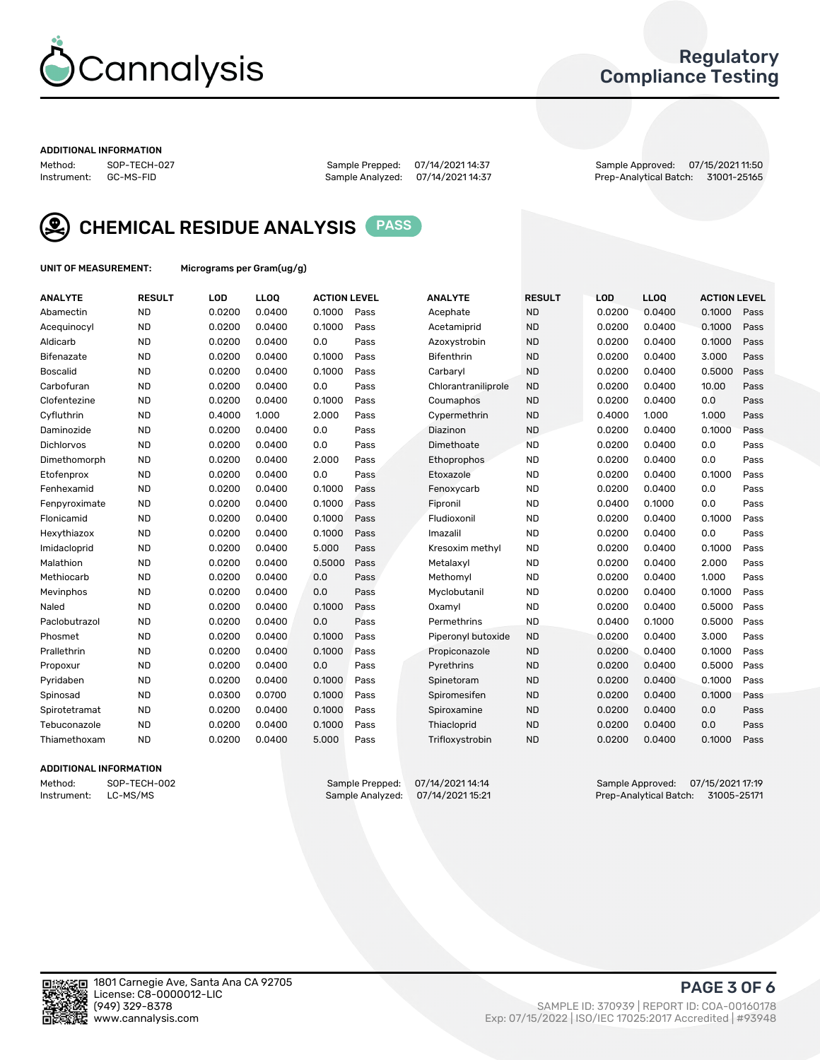

## Regulatory Compliance Testing

#### ADDITIONAL INFORMATION

Method: SOP-TECH-027 Sample Prepped: 07/14/2021 14:37 Sample Approved: 07/15/2021 11:50 Prep-Analytical Batch: 31001-25165



CHEMICAL RESIDUE ANALYSIS PASS

UNIT OF MEASUREMENT: Micrograms per Gram(ug/g)

| <b>ANALYTE</b>  | <b>RESULT</b> | LOD    | LL <sub>OO</sub> | <b>ACTION LEVEL</b> |      | <b>ANALYTE</b>      | <b>RESULT</b> | <b>LOD</b> | <b>LLOQ</b> | <b>ACTION LEVEL</b> |      |
|-----------------|---------------|--------|------------------|---------------------|------|---------------------|---------------|------------|-------------|---------------------|------|
| Abamectin       | <b>ND</b>     | 0.0200 | 0.0400           | 0.1000              | Pass | Acephate            | <b>ND</b>     | 0.0200     | 0.0400      | 0.1000              | Pass |
| Acequinocyl     | <b>ND</b>     | 0.0200 | 0.0400           | 0.1000              | Pass | Acetamiprid         | <b>ND</b>     | 0.0200     | 0.0400      | 0.1000              | Pass |
| Aldicarb        | <b>ND</b>     | 0.0200 | 0.0400           | 0.0                 | Pass | Azoxystrobin        | <b>ND</b>     | 0.0200     | 0.0400      | 0.1000              | Pass |
| Bifenazate      | <b>ND</b>     | 0.0200 | 0.0400           | 0.1000              | Pass | <b>Bifenthrin</b>   | <b>ND</b>     | 0.0200     | 0.0400      | 3.000               | Pass |
| <b>Boscalid</b> | <b>ND</b>     | 0.0200 | 0.0400           | 0.1000              | Pass | Carbarvl            | <b>ND</b>     | 0.0200     | 0.0400      | 0.5000              | Pass |
| Carbofuran      | <b>ND</b>     | 0.0200 | 0.0400           | 0.0                 | Pass | Chlorantraniliprole | <b>ND</b>     | 0.0200     | 0.0400      | 10.00               | Pass |
| Clofentezine    | <b>ND</b>     | 0.0200 | 0.0400           | 0.1000              | Pass | Coumaphos           | <b>ND</b>     | 0.0200     | 0.0400      | 0.0                 | Pass |
| Cyfluthrin      | <b>ND</b>     | 0.4000 | 1.000            | 2.000               | Pass | Cypermethrin        | <b>ND</b>     | 0.4000     | 1.000       | 1.000               | Pass |
| Daminozide      | <b>ND</b>     | 0.0200 | 0.0400           | 0.0                 | Pass | Diazinon            | <b>ND</b>     | 0.0200     | 0.0400      | 0.1000              | Pass |
| Dichlorvos      | <b>ND</b>     | 0.0200 | 0.0400           | 0.0                 | Pass | Dimethoate          | <b>ND</b>     | 0.0200     | 0.0400      | 0.0                 | Pass |
| Dimethomorph    | <b>ND</b>     | 0.0200 | 0.0400           | 2.000               | Pass | Ethoprophos         | <b>ND</b>     | 0.0200     | 0.0400      | 0.0                 | Pass |
| Etofenprox      | <b>ND</b>     | 0.0200 | 0.0400           | 0.0                 | Pass | Etoxazole           | <b>ND</b>     | 0.0200     | 0.0400      | 0.1000              | Pass |
| Fenhexamid      | <b>ND</b>     | 0.0200 | 0.0400           | 0.1000              | Pass | Fenoxycarb          | <b>ND</b>     | 0.0200     | 0.0400      | 0.0                 | Pass |
| Fenpyroximate   | <b>ND</b>     | 0.0200 | 0.0400           | 0.1000              | Pass | Fipronil            | <b>ND</b>     | 0.0400     | 0.1000      | 0.0                 | Pass |
| Flonicamid      | <b>ND</b>     | 0.0200 | 0.0400           | 0.1000              | Pass | Fludioxonil         | <b>ND</b>     | 0.0200     | 0.0400      | 0.1000              | Pass |
| Hexythiazox     | <b>ND</b>     | 0.0200 | 0.0400           | 0.1000              | Pass | Imazalil            | <b>ND</b>     | 0.0200     | 0.0400      | 0.0                 | Pass |
| Imidacloprid    | <b>ND</b>     | 0.0200 | 0.0400           | 5.000               | Pass | Kresoxim methyl     | <b>ND</b>     | 0.0200     | 0.0400      | 0.1000              | Pass |
| Malathion       | <b>ND</b>     | 0.0200 | 0.0400           | 0.5000              | Pass | Metalaxyl           | <b>ND</b>     | 0.0200     | 0.0400      | 2.000               | Pass |
| Methiocarb      | <b>ND</b>     | 0.0200 | 0.0400           | 0.0                 | Pass | Methomyl            | <b>ND</b>     | 0.0200     | 0.0400      | 1.000               | Pass |
| Mevinphos       | <b>ND</b>     | 0.0200 | 0.0400           | 0.0                 | Pass | Myclobutanil        | <b>ND</b>     | 0.0200     | 0.0400      | 0.1000              | Pass |
| Naled           | <b>ND</b>     | 0.0200 | 0.0400           | 0.1000              | Pass | Oxamyl              | <b>ND</b>     | 0.0200     | 0.0400      | 0.5000              | Pass |
| Paclobutrazol   | <b>ND</b>     | 0.0200 | 0.0400           | 0.0                 | Pass | Permethrins         | <b>ND</b>     | 0.0400     | 0.1000      | 0.5000              | Pass |
| Phosmet         | <b>ND</b>     | 0.0200 | 0.0400           | 0.1000              | Pass | Piperonyl butoxide  | <b>ND</b>     | 0.0200     | 0.0400      | 3.000               | Pass |
| Prallethrin     | <b>ND</b>     | 0.0200 | 0.0400           | 0.1000              | Pass | Propiconazole       | <b>ND</b>     | 0.0200     | 0.0400      | 0.1000              | Pass |
| Propoxur        | <b>ND</b>     | 0.0200 | 0.0400           | 0.0                 | Pass | Pyrethrins          | <b>ND</b>     | 0.0200     | 0.0400      | 0.5000              | Pass |
| Pyridaben       | <b>ND</b>     | 0.0200 | 0.0400           | 0.1000              | Pass | Spinetoram          | <b>ND</b>     | 0.0200     | 0.0400      | 0.1000              | Pass |
| Spinosad        | <b>ND</b>     | 0.0300 | 0.0700           | 0.1000              | Pass | Spiromesifen        | <b>ND</b>     | 0.0200     | 0.0400      | 0.1000              | Pass |
| Spirotetramat   | <b>ND</b>     | 0.0200 | 0.0400           | 0.1000              | Pass | Spiroxamine         | <b>ND</b>     | 0.0200     | 0.0400      | 0.0                 | Pass |
| Tebuconazole    | <b>ND</b>     | 0.0200 | 0.0400           | 0.1000              | Pass | Thiacloprid         | <b>ND</b>     | 0.0200     | 0.0400      | 0.0                 | Pass |
| Thiamethoxam    | <b>ND</b>     | 0.0200 | 0.0400           | 5.000               | Pass | Trifloxystrobin     | <b>ND</b>     | 0.0200     | 0.0400      | 0.1000              | Pass |

#### ADDITIONAL INFORMATION

Method: SOP-TECH-002 Sample Prepped: 07/14/2021 14:14 Sample Approved: 07/15/2021 17:19<br>Instrument: LC-MS/MS Sample Analyzed: 07/14/2021 15:21 Prep-Analytical Batch: 31005-25171 Prep-Analytical Batch: 31005-25171

PAGE 3 OF 6

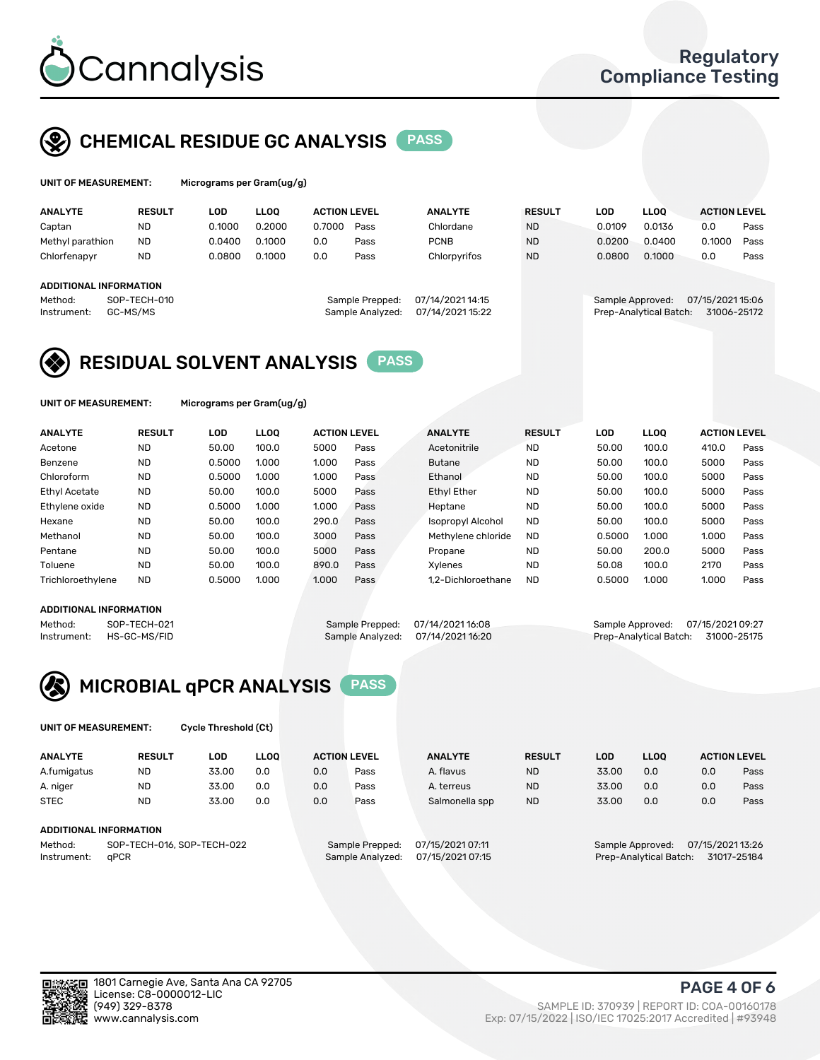

## CHEMICAL RESIDUE GC ANALYSIS PASS

| UNIT OF MEASUREMENT: | Micrograms per |
|----------------------|----------------|
|                      |                |

Gram(ug/g)

| <b>ANALYTE</b>                | <b>RESULT</b>            | LOD    | <b>LLOO</b> | <b>ACTION LEVEL</b> |                                     | <b>ANALYTE</b>                       | <b>RESULT</b> | LOD              | <b>LLOO</b>            | <b>ACTION LEVEL</b>             |      |
|-------------------------------|--------------------------|--------|-------------|---------------------|-------------------------------------|--------------------------------------|---------------|------------------|------------------------|---------------------------------|------|
| Captan                        | <b>ND</b>                | 0.1000 | 0.2000      | 0.7000              | Pass                                | Chlordane                            | <b>ND</b>     | 0.0109           | 0.0136                 | 0.0                             | Pass |
| Methyl parathion              | <b>ND</b>                | 0.0400 | 0.1000      | 0.0                 | Pass                                | <b>PCNB</b>                          | <b>ND</b>     | 0.0200           | 0.0400                 | 0.1000                          | Pass |
| Chlorfenapyr                  | <b>ND</b>                | 0.0800 | 0.1000      | 0.0                 | Pass                                | Chlorpyrifos                         | <b>ND</b>     | 0.0800           | 0.1000                 | 0.0                             | Pass |
|                               |                          |        |             |                     |                                     |                                      |               |                  |                        |                                 |      |
| <b>ADDITIONAL INFORMATION</b> |                          |        |             |                     |                                     |                                      |               |                  |                        |                                 |      |
| Method:<br>Instrument:        | SOP-TECH-010<br>GC-MS/MS |        |             |                     | Sample Prepped:<br>Sample Analyzed: | 07/14/2021 14:15<br>07/14/2021 15:22 |               | Sample Approved: | Prep-Analytical Batch: | 07/15/2021 15:06<br>31006-25172 |      |

## RESIDUAL SOLVENT ANALYSIS PASS

UNIT OF MEASUREMENT: Micrograms per Gram(ug/g)

| <b>ANALYTE</b>       | <b>RESULT</b> | LOD    | <b>LLOO</b> | <b>ACTION LEVEL</b> |      | <b>ANALYTE</b>           | <b>RESULT</b> | LOD    | LLOO  | <b>ACTION LEVEL</b> |      |
|----------------------|---------------|--------|-------------|---------------------|------|--------------------------|---------------|--------|-------|---------------------|------|
| Acetone              | <b>ND</b>     | 50.00  | 100.0       | 5000                | Pass | Acetonitrile             | <b>ND</b>     | 50.00  | 100.0 | 410.0               | Pass |
| Benzene              | <b>ND</b>     | 0.5000 | 1.000       | 1.000               | Pass | <b>Butane</b>            | <b>ND</b>     | 50.00  | 100.0 | 5000                | Pass |
| Chloroform           | <b>ND</b>     | 0.5000 | 1.000       | 1.000               | Pass | Ethanol                  | <b>ND</b>     | 50.00  | 100.0 | 5000                | Pass |
| <b>Ethyl Acetate</b> | <b>ND</b>     | 50.00  | 100.0       | 5000                | Pass | <b>Ethyl Ether</b>       | <b>ND</b>     | 50.00  | 100.0 | 5000                | Pass |
| Ethylene oxide       | <b>ND</b>     | 0.5000 | 1.000       | 1.000               | Pass | Heptane                  | <b>ND</b>     | 50.00  | 100.0 | 5000                | Pass |
| Hexane               | <b>ND</b>     | 50.00  | 100.0       | 290.0               | Pass | <b>Isopropyl Alcohol</b> | <b>ND</b>     | 50.00  | 100.0 | 5000                | Pass |
| Methanol             | <b>ND</b>     | 50.00  | 100.0       | 3000                | Pass | Methylene chloride       | <b>ND</b>     | 0.5000 | 1.000 | 1.000               | Pass |
| Pentane              | <b>ND</b>     | 50.00  | 100.0       | 5000                | Pass | Propane                  | <b>ND</b>     | 50.00  | 200.0 | 5000                | Pass |
| Toluene              | <b>ND</b>     | 50.00  | 100.0       | 890.0               | Pass | Xvlenes                  | <b>ND</b>     | 50.08  | 100.0 | 2170                | Pass |
| Trichloroethylene    | <b>ND</b>     | 0.5000 | 1.000       | 1.000               | Pass | 1.2-Dichloroethane       | <b>ND</b>     | 0.5000 | 1.000 | 1.000               | Pass |

#### ADDITIONAL INFORMATION

Method: SOP-TECH-021 Sample Prepped: 07/14/2021 16:08 Sample Approved: 07/15/2021 09:27<br>Sample Analyzed: 07/14/2021 16:20 Prep-Analytical Batch: 31000-25175 Prep-Analytical Batch: 31000-25175



UNIT OF MEASUREMENT: Cycle Threshold (Ct)

| <b>ANALYTE</b>                        | <b>RESULT</b>          | LOD   | <b>LLOO</b> |     | <b>ACTION LEVEL</b>                 | <b>ANALYTE</b> | <b>RESULT</b> | LOD   | LL <sub>00</sub> |     | <b>ACTION LEVEL</b> |  |
|---------------------------------------|------------------------|-------|-------------|-----|-------------------------------------|----------------|---------------|-------|------------------|-----|---------------------|--|
| A.fumigatus                           | <b>ND</b>              | 33.00 | 0.0         | 0.0 | Pass                                | A. flavus      | <b>ND</b>     | 33.00 | 0.0              | 0.0 | Pass                |  |
| A. niger                              | <b>ND</b>              | 33.00 | 0.0         | 0.0 | Pass                                | A. terreus     | <b>ND</b>     | 33.00 | 0.0              | 0.0 | Pass                |  |
| <b>STEC</b>                           | <b>ND</b>              | 33.00 | 0.0         | 0.0 | Pass                                | Salmonella spp | <b>ND</b>     | 33.00 | 0.0              | 0.0 | Pass                |  |
|                                       | ADDITIONAL INFORMATION |       |             |     |                                     |                |               |       |                  |     |                     |  |
| SOP-TECH-016, SOP-TECH-022<br>Method: |                        |       |             |     | 07/15/2021 07:11<br>Sample Prepped: |                |               |       | Sample Approved: |     | 07/15/2021 13:26    |  |

Instrument: qPCR **Sample Analyzed: 07/15/2021 07:15** Prep-Analytical Batch: 31017-25184

PAGE 4 OF 6

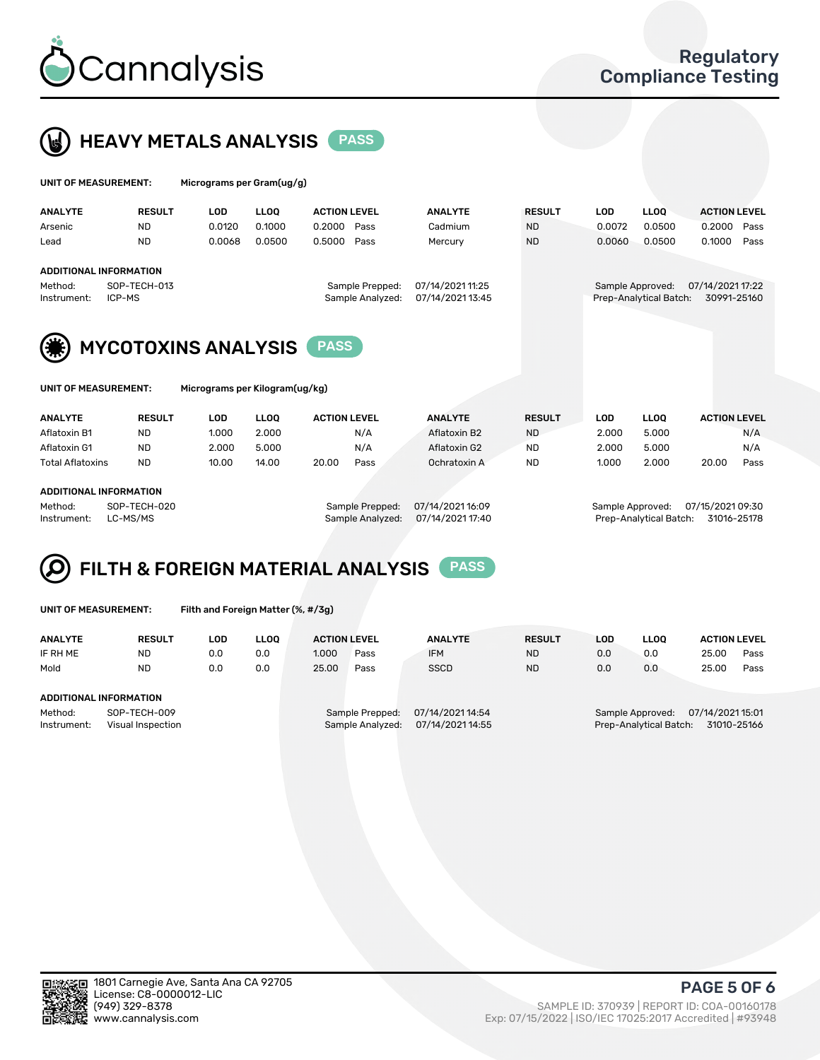



| UNIT OF MEASUREMENT:          |                            | Micrograms per Gram(ug/g) |             |                     |  |                  |               |            |                        |                     |      |
|-------------------------------|----------------------------|---------------------------|-------------|---------------------|--|------------------|---------------|------------|------------------------|---------------------|------|
| <b>ANALYTE</b>                | <b>RESULT</b>              | <b>LOD</b>                | <b>LLOO</b> | <b>ACTION LEVEL</b> |  | <b>ANALYTE</b>   | <b>RESULT</b> | <b>LOD</b> | <b>LLOQ</b>            | <b>ACTION LEVEL</b> |      |
| Arsenic                       | <b>ND</b>                  | 0.0120                    | 0.1000      | 0.2000<br>Pass      |  | Cadmium          | <b>ND</b>     | 0.0072     | 0.0500                 | 0.2000              | Pass |
| Lead                          | <b>ND</b>                  | 0.0068                    | 0.0500      | 0.5000<br>Pass      |  | Mercury          | <b>ND</b>     | 0.0060     | 0.0500                 | 0.1000              | Pass |
| <b>ADDITIONAL INFORMATION</b> |                            |                           |             |                     |  |                  |               |            |                        |                     |      |
| Method:                       | SOP-TECH-013               |                           |             | Sample Prepped:     |  | 07/14/2021 11:25 |               |            | Sample Approved:       | 07/14/2021 17:22    |      |
| Instrument:                   | ICP-MS                     |                           |             | Sample Analyzed:    |  | 07/14/2021 13:45 |               |            | Prep-Analytical Batch: | 30991-25160         |      |
| (*)                           | <b>MYCOTOXINS ANALYSIS</b> |                           |             | <b>PASS</b>         |  |                  |               |            |                        |                     |      |

UNIT OF MEASUREMENT: Micrograms per Kilogram(ug/kg)

| <b>ANALYTE</b>          | <b>RESULT</b>                | LOD   | <b>LLOO</b> | <b>ACTION LEVEL</b> |      | <b>ANALYTE</b> | <b>RESULT</b> | LOD   | <b>LLOO</b> | <b>ACTION LEVEL</b> |      |  |  |
|-------------------------|------------------------------|-------|-------------|---------------------|------|----------------|---------------|-------|-------------|---------------------|------|--|--|
| Aflatoxin B1            | <b>ND</b>                    | 1.000 | 2.000       |                     | N/A  | Aflatoxin B2   | <b>ND</b>     | 2.000 | 5.000       |                     | N/A  |  |  |
| Aflatoxin G1            | <b>ND</b>                    | 2.000 | 5.000       |                     | N/A  | Aflatoxin G2   | <b>ND</b>     | 2.000 | 5.000       |                     | N/A  |  |  |
| <b>Total Aflatoxins</b> | <b>ND</b>                    | 10.00 | 14.00       | 20.00               | Pass | Ochratoxin A   | <b>ND</b>     | 1.000 | 2.000       | 20.00               | Pass |  |  |
|                         |                              |       |             |                     |      |                |               |       |             |                     |      |  |  |
|                         | 1.0.017101111111700111171011 |       |             |                     |      |                |               |       |             |                     |      |  |  |

#### ADDITIONAL INFORMATION

Method: SOP-TECH-020 Sample Prepped: 07/14/2021 16:09 Sample Approved: 07/15/2021 09:30 Instrument: LC-MS/MS Sample Analyzed: 07/14/2021 17:40 Prep-Analytical Batch: 31016-25178

# FILTH & FOREIGN MATERIAL ANALYSIS PASS

UNIT OF MEASUREMENT: Filth and Foreign Matter (%, #/3g)

| <b>ANALYTE</b>                                              | <b>RESULT</b> | LOD | <b>LLOO</b> | <b>ACTION LEVEL</b>                 |                                      | <b>ANALYTE</b> | <b>RESULT</b> | LOD | LLOO                                                                          | <b>ACTION LEVEL</b> |      |
|-------------------------------------------------------------|---------------|-----|-------------|-------------------------------------|--------------------------------------|----------------|---------------|-----|-------------------------------------------------------------------------------|---------------------|------|
| IF RH ME                                                    | <b>ND</b>     | 0.0 | 0.0         | 1.000                               | Pass                                 | <b>IFM</b>     | <b>ND</b>     | 0.0 | 0.0                                                                           | 25.00               | Pass |
| Mold                                                        | <b>ND</b>     | 0.0 | 0.0         | 25.00                               | Pass                                 | <b>SSCD</b>    | <b>ND</b>     | 0.0 | 0.0                                                                           | 25.00               | Pass |
| <b>ADDITIONAL INFORMATION</b>                               |               |     |             |                                     |                                      |                |               |     |                                                                               |                     |      |
| SOP-TECH-009<br>Method:<br>Instrument:<br>Visual Inspection |               |     |             | Sample Prepped:<br>Sample Analyzed: | 07/14/2021 14:54<br>07/14/2021 14:55 |                |               |     | 07/14/2021 15:01<br>Sample Approved:<br>Prep-Analytical Batch:<br>31010-25166 |                     |      |